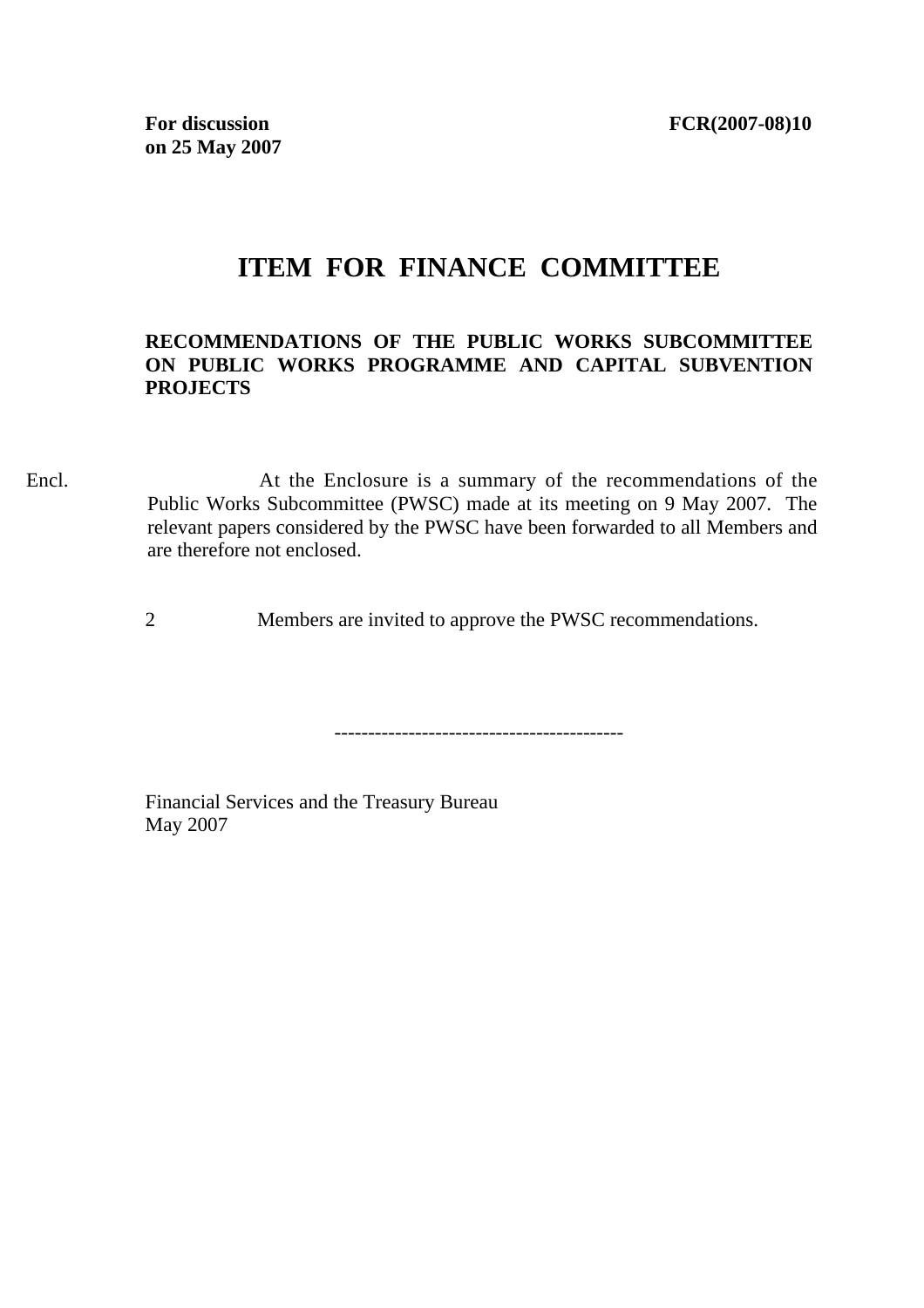## **ITEM FOR FINANCE COMMITTEE**

## **RECOMMENDATIONS OF THE PUBLIC WORKS SUBCOMMITTEE ON PUBLIC WORKS PROGRAMME AND CAPITAL SUBVENTION PROJECTS**

Encl. At the Enclosure is a summary of the recommendations of the Public Works Subcommittee (PWSC) made at its meeting on 9 May 2007. The relevant papers considered by the PWSC have been forwarded to all Members and are therefore not enclosed.

2 Members are invited to approve the PWSC recommendations.

-------------------------------------------

Financial Services and the Treasury Bureau May 2007